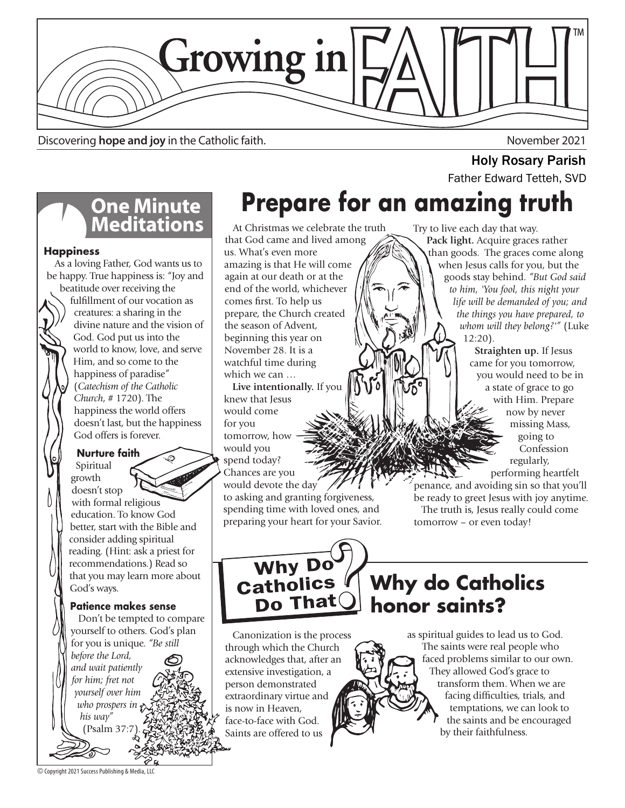

Discovering **hope and joy** in the Catholic faith. November 2021

# **One Minute<br>Meditations**

### **Happiness**

 As a loving Father, God wants us to be happy. True happiness is: "Joy and

beatitude over receiving the fulfillment of our vocation as creatures: a sharing in the divine nature and the vision of God. God put us into the world to know, love, and serve Him, and so come to the happiness of paradise" (*Catechism of the Catholic Church*, # 1720). The happiness the world offers doesn't last, but the happiness God offers is forever.

### **Nurture faith**

 Spiritual growth doesn't stop with formal religious education. To know God better, start with the Bible and consider adding spiritual reading. (Hint: ask a priest for recommendations.) Read so that you may learn more about God's ways.

**Patience makes sense** Don't be tempted to compare yourself to others. God's plan for you is unique. *"Be still before the Lord, and wait patiently for him; fret not yourself over him who prospers in his way"*   $(Psalm 37)$ 

## **Prepare for an amazing truth Holy Rosary Parish**<br>Father Edward Tetteh, SVD

At Christmas we celebrate the truth that God came and lived among us. What's even more amazing is that He will come again at our death or at the end of the world, whichever comes first. To help us prepare, the Church created the season of Advent, beginning this year on November 28. It is a watchful time during which we can …

 **Live intentionally.** If you knew that Jesus would come for you tomorrow, how would you spend today? Chances are you would devote the day to asking and granting forgiveness, spending time with loved ones, and preparing your heart for your Savior. Try to live each day that way.  **Pack light.** Acquire graces rather than goods. The graces come along when Jesus calls for you, but the goods stay behind. *"But God said to him, 'You fool, this night your life will be demanded of you; and the things you have prepared, to whom will they belong?'"* (Luke 12:20).

> **Straighten up.** If Jesus came for you tomorrow, you would need to be in a state of grace to go with Him. Prepare now by never missing Mass, going to Confession regularly,

performing heartfelt

penance, and avoiding sin so that you'll be ready to greet Jesus with joy anytime. The truth is, Jesus really could come tomorrow – or even today!



Do That

**Why do Catholics honor saints?**

 Canonization is the process through which the Church acknowledges that, after an extensive investigation, a person demonstrated extraordinary virtue and is now in Heaven, face-to-face with God. Saints are offered to us

as spiritual guides to lead us to God. The saints were real people who faced problems similar to our own. They allowed God's grace to transform them. When we are facing difficulties, trials, and temptations, we can look to the saints and be encouraged by their faithfulness.

© Copyright 2021 Success Publishing & Media, LLC